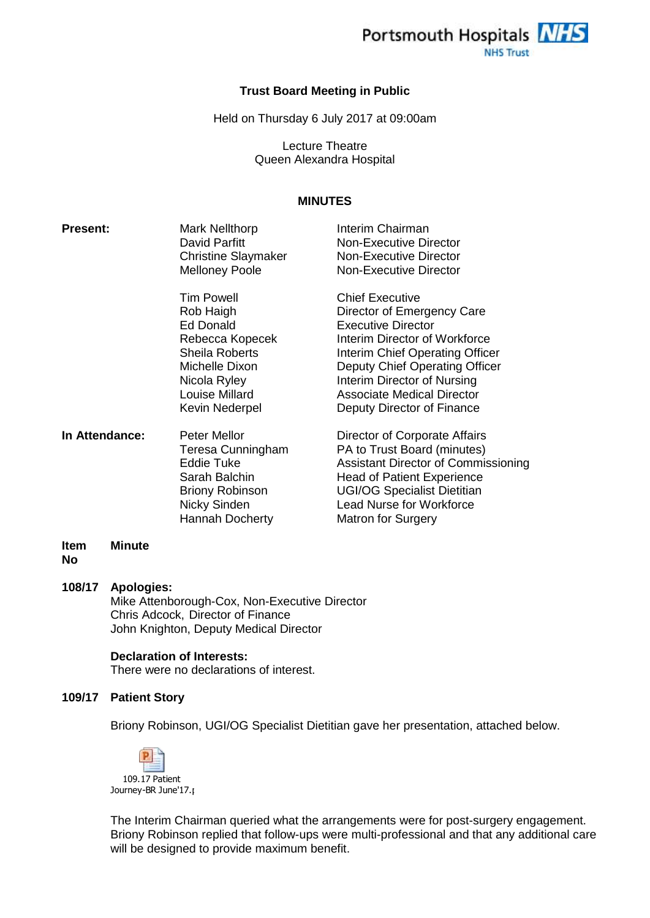

#### **Trust Board Meeting in Public**

Held on Thursday 6 July 2017 at 09:00am

Lecture Theatre Queen Alexandra Hospital

## **MINUTES**

| <b>Present:</b> | <b>Mark Nellthorp</b><br>David Parfitt<br><b>Christine Slaymaker</b><br><b>Melloney Poole</b>                                                                 | Interim Chairman<br>Non-Executive Director<br>Non-Executive Director<br>Non-Executive Director                                                                                                                                                                                            |
|-----------------|---------------------------------------------------------------------------------------------------------------------------------------------------------------|-------------------------------------------------------------------------------------------------------------------------------------------------------------------------------------------------------------------------------------------------------------------------------------------|
|                 | <b>Tim Powell</b><br>Rob Haigh<br>Ed Donald<br>Rebecca Kopecek<br><b>Sheila Roberts</b><br>Michelle Dixon<br>Nicola Ryley<br>Louise Millard<br>Kevin Nederpel | <b>Chief Executive</b><br>Director of Emergency Care<br><b>Executive Director</b><br>Interim Director of Workforce<br>Interim Chief Operating Officer<br>Deputy Chief Operating Officer<br>Interim Director of Nursing<br><b>Associate Medical Director</b><br>Deputy Director of Finance |
| In Attendance:  | <b>Peter Mellor</b><br>Teresa Cunningham<br>Eddie Tuke<br>Sarah Balchin                                                                                       | Director of Corporate Affairs<br>PA to Trust Board (minutes)<br>Assistant Director of Commissioning<br><b>Head of Patient Experience</b>                                                                                                                                                  |

**Item No Minute**

#### **108/17 Apologies:**

Mike Attenborough-Cox, Non-Executive Director Chris Adcock, Director of Finance John Knighton, Deputy Medical Director

#### **Declaration of Interests:**

There were no declarations of interest.

#### **109/17 Patient Story**

Briony Robinson, UGI/OG Specialist Dietitian gave her presentation, attached below.

Briony Robinson UGI/OG Specialist Dietitian Nicky Sinden Lead Nurse for Workforce

Hannah Docherty Matron for Surgery



The Interim Chairman queried what the arrangements were for post-surgery engagement. Briony Robinson replied that follow-ups were multi-professional and that any additional care will be designed to provide maximum benefit.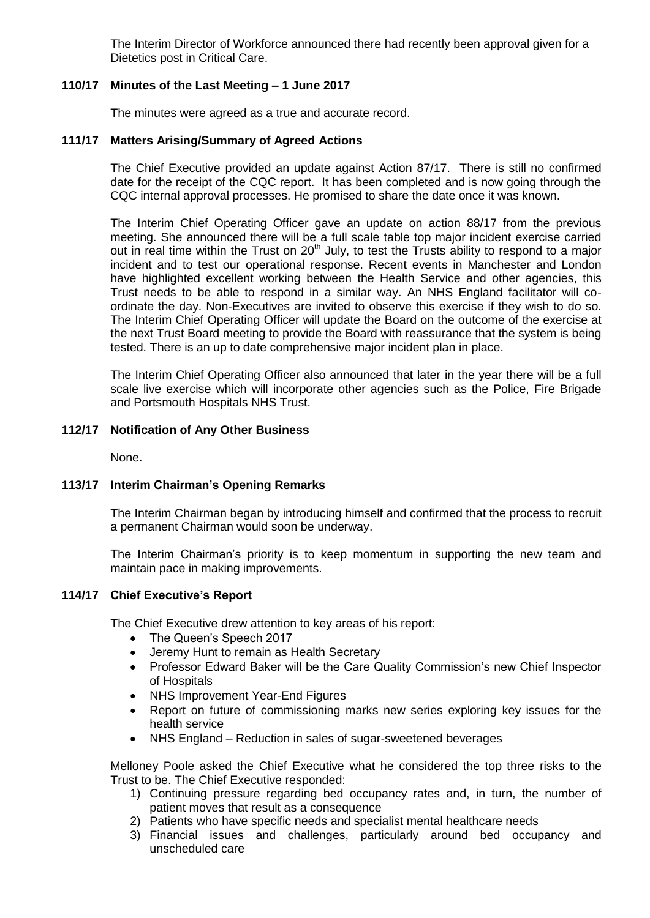The Interim Director of Workforce announced there had recently been approval given for a Dietetics post in Critical Care.

## **110/17 Minutes of the Last Meeting – 1 June 2017**

The minutes were agreed as a true and accurate record.

### **111/17 Matters Arising/Summary of Agreed Actions**

The Chief Executive provided an update against Action 87/17. There is still no confirmed date for the receipt of the CQC report. It has been completed and is now going through the CQC internal approval processes. He promised to share the date once it was known.

The Interim Chief Operating Officer gave an update on action 88/17 from the previous meeting. She announced there will be a full scale table top major incident exercise carried out in real time within the Trust on 20<sup>th</sup> July, to test the Trusts ability to respond to a major incident and to test our operational response. Recent events in Manchester and London have highlighted excellent working between the Health Service and other agencies, this Trust needs to be able to respond in a similar way. An NHS England facilitator will coordinate the day. Non-Executives are invited to observe this exercise if they wish to do so. The Interim Chief Operating Officer will update the Board on the outcome of the exercise at the next Trust Board meeting to provide the Board with reassurance that the system is being tested. There is an up to date comprehensive major incident plan in place.

The Interim Chief Operating Officer also announced that later in the year there will be a full scale live exercise which will incorporate other agencies such as the Police, Fire Brigade and Portsmouth Hospitals NHS Trust.

### **112/17 Notification of Any Other Business**

None.

## **113/17 Interim Chairman's Opening Remarks**

The Interim Chairman began by introducing himself and confirmed that the process to recruit a permanent Chairman would soon be underway.

The Interim Chairman's priority is to keep momentum in supporting the new team and maintain pace in making improvements.

## **114/17 Chief Executive's Report**

The Chief Executive drew attention to key areas of his report:

- The Queen's Speech 2017
- Jeremy Hunt to remain as Health Secretary
- Professor Edward Baker will be the Care Quality Commission's new Chief Inspector of Hospitals
- NHS Improvement Year-End Figures
- Report on future of commissioning marks new series exploring key issues for the health service
- NHS England Reduction in sales of sugar-sweetened beverages

Melloney Poole asked the Chief Executive what he considered the top three risks to the Trust to be. The Chief Executive responded:

- 1) Continuing pressure regarding bed occupancy rates and, in turn, the number of patient moves that result as a consequence
- 2) Patients who have specific needs and specialist mental healthcare needs
- 3) Financial issues and challenges, particularly around bed occupancy and unscheduled care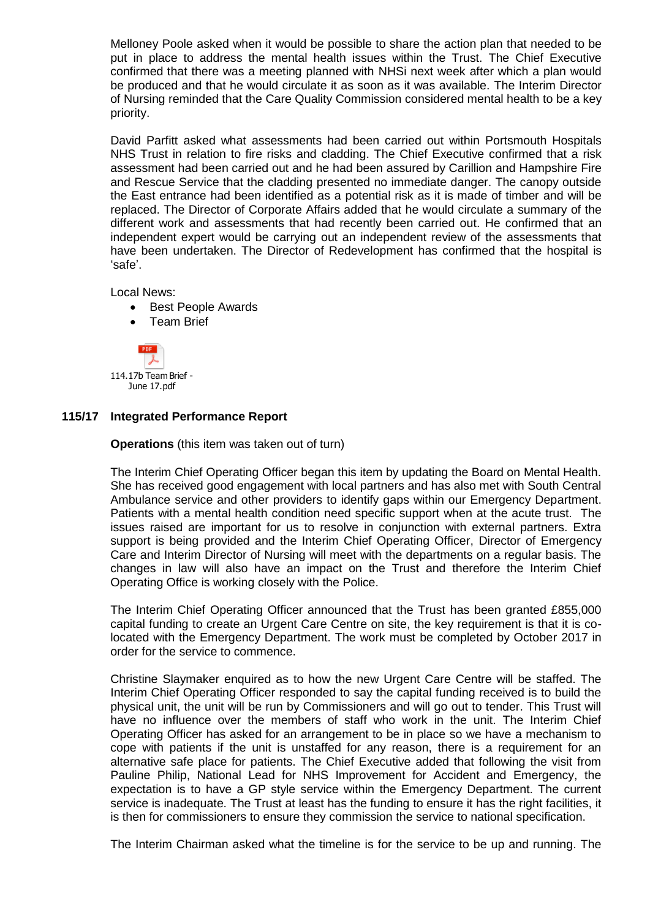Melloney Poole asked when it would be possible to share the action plan that needed to be put in place to address the mental health issues within the Trust. The Chief Executive confirmed that there was a meeting planned with NHSi next week after which a plan would be produced and that he would circulate it as soon as it was available. The Interim Director of Nursing reminded that the Care Quality Commission considered mental health to be a key priority.

David Parfitt asked what assessments had been carried out within Portsmouth Hospitals NHS Trust in relation to fire risks and cladding. The Chief Executive confirmed that a risk assessment had been carried out and he had been assured by Carillion and Hampshire Fire and Rescue Service that the cladding presented no immediate danger. The canopy outside the East entrance had been identified as a potential risk as it is made of timber and will be replaced. The Director of Corporate Affairs added that he would circulate a summary of the different work and assessments that had recently been carried out. He confirmed that an independent expert would be carrying out an independent review of the assessments that have been undertaken. The Director of Redevelopment has confirmed that the hospital is 'safe'.

Local News:

- Best People Awards
- Team Brief



June 17.pdf

#### **115/17 Integrated Performance Report**

**Operations** (this item was taken out of turn)

The Interim Chief Operating Officer began this item by updating the Board on Mental Health. She has received good engagement with local partners and has also met with South Central Ambulance service and other providers to identify gaps within our Emergency Department. Patients with a mental health condition need specific support when at the acute trust. The issues raised are important for us to resolve in conjunction with external partners. Extra support is being provided and the Interim Chief Operating Officer, Director of Emergency Care and Interim Director of Nursing will meet with the departments on a regular basis. The changes in law will also have an impact on the Trust and therefore the Interim Chief Operating Office is working closely with the Police.

The Interim Chief Operating Officer announced that the Trust has been granted £855,000 capital funding to create an Urgent Care Centre on site, the key requirement is that it is colocated with the Emergency Department. The work must be completed by October 2017 in order for the service to commence.

Christine Slaymaker enquired as to how the new Urgent Care Centre will be staffed. The Interim Chief Operating Officer responded to say the capital funding received is to build the physical unit, the unit will be run by Commissioners and will go out to tender. This Trust will have no influence over the members of staff who work in the unit. The Interim Chief Operating Officer has asked for an arrangement to be in place so we have a mechanism to cope with patients if the unit is unstaffed for any reason, there is a requirement for an alternative safe place for patients. The Chief Executive added that following the visit from Pauline Philip, National Lead for NHS Improvement for Accident and Emergency, the expectation is to have a GP style service within the Emergency Department. The current service is inadequate. The Trust at least has the funding to ensure it has the right facilities, it is then for commissioners to ensure they commission the service to national specification.

The Interim Chairman asked what the timeline is for the service to be up and running. The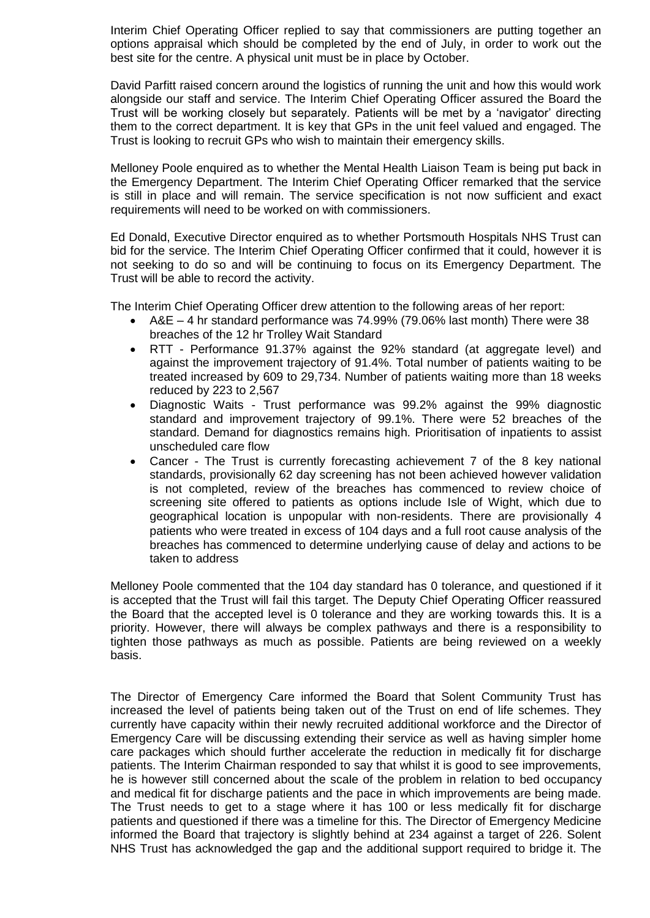Interim Chief Operating Officer replied to say that commissioners are putting together an options appraisal which should be completed by the end of July, in order to work out the best site for the centre. A physical unit must be in place by October.

David Parfitt raised concern around the logistics of running the unit and how this would work alongside our staff and service. The Interim Chief Operating Officer assured the Board the Trust will be working closely but separately. Patients will be met by a 'navigator' directing them to the correct department. It is key that GPs in the unit feel valued and engaged. The Trust is looking to recruit GPs who wish to maintain their emergency skills.

Melloney Poole enquired as to whether the Mental Health Liaison Team is being put back in the Emergency Department. The Interim Chief Operating Officer remarked that the service is still in place and will remain. The service specification is not now sufficient and exact requirements will need to be worked on with commissioners.

Ed Donald, Executive Director enquired as to whether Portsmouth Hospitals NHS Trust can bid for the service. The Interim Chief Operating Officer confirmed that it could, however it is not seeking to do so and will be continuing to focus on its Emergency Department. The Trust will be able to record the activity.

The Interim Chief Operating Officer drew attention to the following areas of her report:

- A&E 4 hr standard performance was 74.99% (79.06% last month) There were 38 breaches of the 12 hr Trolley Wait Standard
- RTT Performance 91.37% against the 92% standard (at aggregate level) and against the improvement trajectory of 91.4%. Total number of patients waiting to be treated increased by 609 to 29,734. Number of patients waiting more than 18 weeks reduced by 223 to 2,567
- Diagnostic Waits Trust performance was 99.2% against the 99% diagnostic standard and improvement trajectory of 99.1%. There were 52 breaches of the standard. Demand for diagnostics remains high. Prioritisation of inpatients to assist unscheduled care flow
- Cancer The Trust is currently forecasting achievement 7 of the 8 key national standards, provisionally 62 day screening has not been achieved however validation is not completed, review of the breaches has commenced to review choice of screening site offered to patients as options include Isle of Wight, which due to geographical location is unpopular with non-residents. There are provisionally 4 patients who were treated in excess of 104 days and a full root cause analysis of the breaches has commenced to determine underlying cause of delay and actions to be taken to address

Melloney Poole commented that the 104 day standard has 0 tolerance, and questioned if it is accepted that the Trust will fail this target. The Deputy Chief Operating Officer reassured the Board that the accepted level is 0 tolerance and they are working towards this. It is a priority. However, there will always be complex pathways and there is a responsibility to tighten those pathways as much as possible. Patients are being reviewed on a weekly basis.

The Director of Emergency Care informed the Board that Solent Community Trust has increased the level of patients being taken out of the Trust on end of life schemes. They currently have capacity within their newly recruited additional workforce and the Director of Emergency Care will be discussing extending their service as well as having simpler home care packages which should further accelerate the reduction in medically fit for discharge patients. The Interim Chairman responded to say that whilst it is good to see improvements, he is however still concerned about the scale of the problem in relation to bed occupancy and medical fit for discharge patients and the pace in which improvements are being made. The Trust needs to get to a stage where it has 100 or less medically fit for discharge patients and questioned if there was a timeline for this. The Director of Emergency Medicine informed the Board that trajectory is slightly behind at 234 against a target of 226. Solent NHS Trust has acknowledged the gap and the additional support required to bridge it. The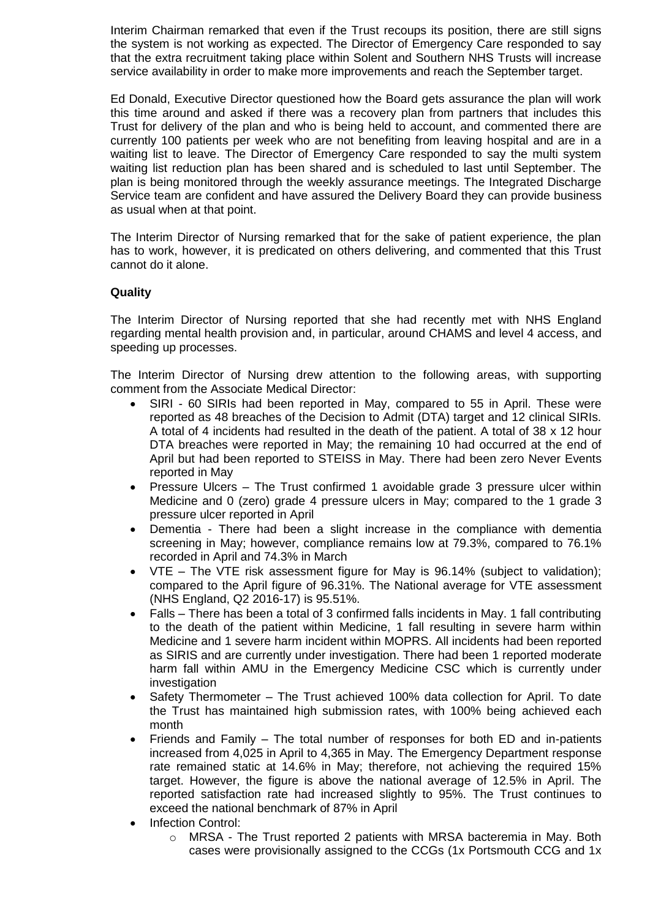Interim Chairman remarked that even if the Trust recoups its position, there are still signs the system is not working as expected. The Director of Emergency Care responded to say that the extra recruitment taking place within Solent and Southern NHS Trusts will increase service availability in order to make more improvements and reach the September target.

Ed Donald, Executive Director questioned how the Board gets assurance the plan will work this time around and asked if there was a recovery plan from partners that includes this Trust for delivery of the plan and who is being held to account, and commented there are currently 100 patients per week who are not benefiting from leaving hospital and are in a waiting list to leave. The Director of Emergency Care responded to say the multi system waiting list reduction plan has been shared and is scheduled to last until September. The plan is being monitored through the weekly assurance meetings. The Integrated Discharge Service team are confident and have assured the Delivery Board they can provide business as usual when at that point.

The Interim Director of Nursing remarked that for the sake of patient experience, the plan has to work, however, it is predicated on others delivering, and commented that this Trust cannot do it alone.

## **Quality**

The Interim Director of Nursing reported that she had recently met with NHS England regarding mental health provision and, in particular, around CHAMS and level 4 access, and speeding up processes.

The Interim Director of Nursing drew attention to the following areas, with supporting comment from the Associate Medical Director:

- SIRI 60 SIRIs had been reported in May, compared to 55 in April. These were reported as 48 breaches of the Decision to Admit (DTA) target and 12 clinical SIRIs. A total of 4 incidents had resulted in the death of the patient. A total of 38 x 12 hour DTA breaches were reported in May; the remaining 10 had occurred at the end of April but had been reported to STEISS in May. There had been zero Never Events reported in May
- Pressure Ulcers The Trust confirmed 1 avoidable grade 3 pressure ulcer within Medicine and 0 (zero) grade 4 pressure ulcers in May; compared to the 1 grade 3 pressure ulcer reported in April
- Dementia There had been a slight increase in the compliance with dementia screening in May; however, compliance remains low at 79.3%, compared to 76.1% recorded in April and 74.3% in March
- VTE The VTE risk assessment figure for May is 96.14% (subject to validation); compared to the April figure of 96.31%. The National average for VTE assessment (NHS England, Q2 2016-17) is 95.51%.
- Falls There has been a total of 3 confirmed falls incidents in May. 1 fall contributing to the death of the patient within Medicine, 1 fall resulting in severe harm within Medicine and 1 severe harm incident within MOPRS. All incidents had been reported as SIRIS and are currently under investigation. There had been 1 reported moderate harm fall within AMU in the Emergency Medicine CSC which is currently under investigation
- Safety Thermometer The Trust achieved 100% data collection for April. To date the Trust has maintained high submission rates, with 100% being achieved each month
- Friends and Family The total number of responses for both ED and in-patients increased from 4,025 in April to 4,365 in May. The Emergency Department response rate remained static at 14.6% in May; therefore, not achieving the required 15% target. However, the figure is above the national average of 12.5% in April. The reported satisfaction rate had increased slightly to 95%. The Trust continues to exceed the national benchmark of 87% in April
- Infection Control:
	- $\circ$  MRSA The Trust reported 2 patients with MRSA bacteremia in May. Both cases were provisionally assigned to the CCGs (1x Portsmouth CCG and 1x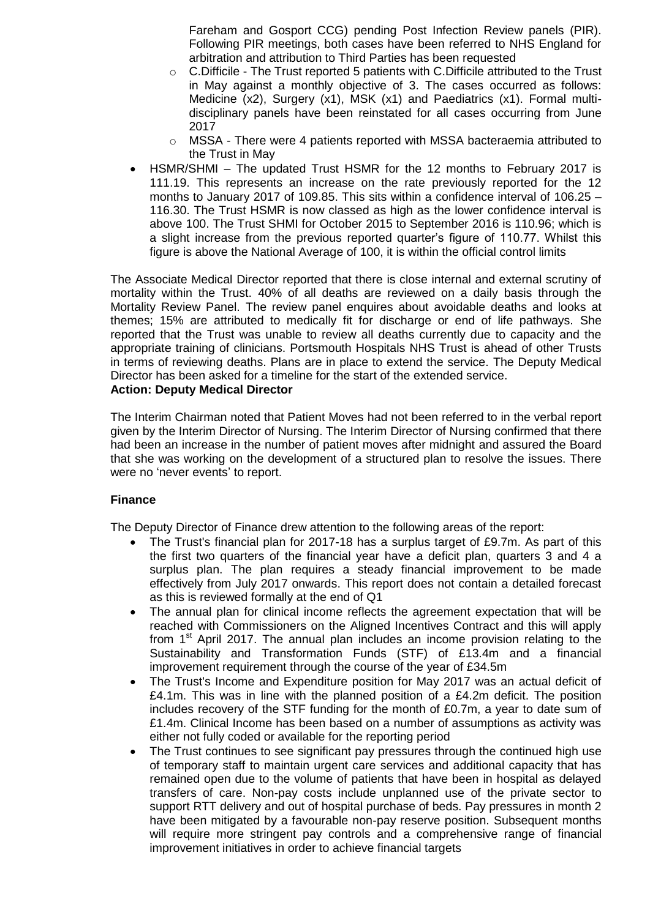Fareham and Gosport CCG) pending Post Infection Review panels (PIR). Following PIR meetings, both cases have been referred to NHS England for arbitration and attribution to Third Parties has been requested

- $\circ$  C. Difficile The Trust reported 5 patients with C. Difficile attributed to the Trust in May against a monthly objective of 3. The cases occurred as follows: Medicine (x2), Surgery (x1), MSK (x1) and Paediatrics (x1). Formal multidisciplinary panels have been reinstated for all cases occurring from June 2017
- $\circ$  MSSA There were 4 patients reported with MSSA bacteraemia attributed to the Trust in May
- HSMR/SHMI The updated Trust HSMR for the 12 months to February 2017 is 111.19. This represents an increase on the rate previously reported for the 12 months to January 2017 of 109.85. This sits within a confidence interval of 106.25 – 116.30. The Trust HSMR is now classed as high as the lower confidence interval is above 100. The Trust SHMI for October 2015 to September 2016 is 110.96; which is a slight increase from the previous reported quarter's figure of 110.77. Whilst this figure is above the National Average of 100, it is within the official control limits

The Associate Medical Director reported that there is close internal and external scrutiny of mortality within the Trust. 40% of all deaths are reviewed on a daily basis through the Mortality Review Panel. The review panel enquires about avoidable deaths and looks at themes; 15% are attributed to medically fit for discharge or end of life pathways. She reported that the Trust was unable to review all deaths currently due to capacity and the appropriate training of clinicians. Portsmouth Hospitals NHS Trust is ahead of other Trusts in terms of reviewing deaths. Plans are in place to extend the service. The Deputy Medical Director has been asked for a timeline for the start of the extended service.

## **Action: Deputy Medical Director**

The Interim Chairman noted that Patient Moves had not been referred to in the verbal report given by the Interim Director of Nursing. The Interim Director of Nursing confirmed that there had been an increase in the number of patient moves after midnight and assured the Board that she was working on the development of a structured plan to resolve the issues. There were no 'never events' to report.

## **Finance**

The Deputy Director of Finance drew attention to the following areas of the report:

- The Trust's financial plan for 2017-18 has a surplus target of £9.7m. As part of this the first two quarters of the financial year have a deficit plan, quarters 3 and 4 a surplus plan. The plan requires a steady financial improvement to be made effectively from July 2017 onwards. This report does not contain a detailed forecast as this is reviewed formally at the end of Q1
- The annual plan for clinical income reflects the agreement expectation that will be reached with Commissioners on the Aligned Incentives Contract and this will apply from  $1<sup>st</sup>$  April 2017. The annual plan includes an income provision relating to the Sustainability and Transformation Funds (STF) of £13.4m and a financial improvement requirement through the course of the year of £34.5m
- The Trust's Income and Expenditure position for May 2017 was an actual deficit of £4.1m. This was in line with the planned position of a £4.2m deficit. The position includes recovery of the STF funding for the month of £0.7m, a year to date sum of £1.4m. Clinical Income has been based on a number of assumptions as activity was either not fully coded or available for the reporting period
- The Trust continues to see significant pay pressures through the continued high use of temporary staff to maintain urgent care services and additional capacity that has remained open due to the volume of patients that have been in hospital as delayed transfers of care. Non-pay costs include unplanned use of the private sector to support RTT delivery and out of hospital purchase of beds. Pay pressures in month 2 have been mitigated by a favourable non-pay reserve position. Subsequent months will require more stringent pay controls and a comprehensive range of financial improvement initiatives in order to achieve financial targets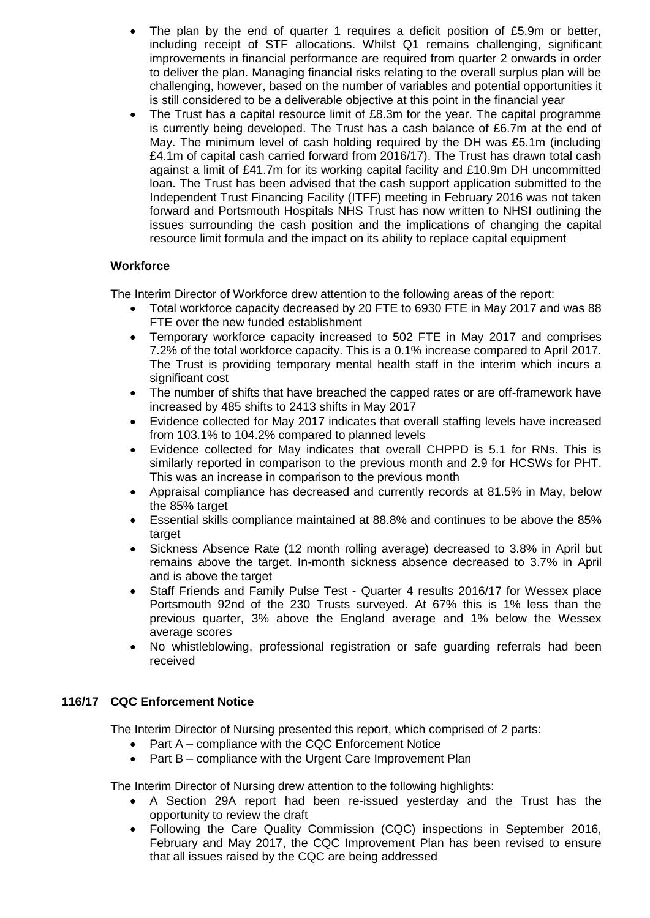- The plan by the end of quarter 1 requires a deficit position of £5.9m or better, including receipt of STF allocations. Whilst Q1 remains challenging, significant improvements in financial performance are required from quarter 2 onwards in order to deliver the plan. Managing financial risks relating to the overall surplus plan will be challenging, however, based on the number of variables and potential opportunities it is still considered to be a deliverable objective at this point in the financial year
- The Trust has a capital resource limit of £8.3m for the year. The capital programme is currently being developed. The Trust has a cash balance of £6.7m at the end of May. The minimum level of cash holding required by the DH was £5.1m (including £4.1m of capital cash carried forward from 2016/17). The Trust has drawn total cash against a limit of £41.7m for its working capital facility and £10.9m DH uncommitted loan. The Trust has been advised that the cash support application submitted to the Independent Trust Financing Facility (ITFF) meeting in February 2016 was not taken forward and Portsmouth Hospitals NHS Trust has now written to NHSI outlining the issues surrounding the cash position and the implications of changing the capital resource limit formula and the impact on its ability to replace capital equipment

## **Workforce**

The Interim Director of Workforce drew attention to the following areas of the report:

- Total workforce capacity decreased by 20 FTE to 6930 FTE in May 2017 and was 88 FTE over the new funded establishment
- Temporary workforce capacity increased to 502 FTE in May 2017 and comprises 7.2% of the total workforce capacity. This is a 0.1% increase compared to April 2017. The Trust is providing temporary mental health staff in the interim which incurs a significant cost
- The number of shifts that have breached the capped rates or are off-framework have increased by 485 shifts to 2413 shifts in May 2017
- Evidence collected for May 2017 indicates that overall staffing levels have increased from 103.1% to 104.2% compared to planned levels
- Evidence collected for May indicates that overall CHPPD is 5.1 for RNs. This is similarly reported in comparison to the previous month and 2.9 for HCSWs for PHT. This was an increase in comparison to the previous month
- Appraisal compliance has decreased and currently records at 81.5% in May, below the 85% target
- Essential skills compliance maintained at 88.8% and continues to be above the 85% target
- Sickness Absence Rate (12 month rolling average) decreased to 3.8% in April but remains above the target. In-month sickness absence decreased to 3.7% in April and is above the target
- Staff Friends and Family Pulse Test Quarter 4 results 2016/17 for Wessex place Portsmouth 92nd of the 230 Trusts surveyed. At 67% this is 1% less than the previous quarter, 3% above the England average and 1% below the Wessex average scores
- No whistleblowing, professional registration or safe guarding referrals had been received

# **116/17 CQC Enforcement Notice**

The Interim Director of Nursing presented this report, which comprised of 2 parts:

- Part A compliance with the CQC Enforcement Notice
- Part B compliance with the Urgent Care Improvement Plan

The Interim Director of Nursing drew attention to the following highlights:

- A Section 29A report had been re-issued yesterday and the Trust has the opportunity to review the draft
- Following the Care Quality Commission (CQC) inspections in September 2016, February and May 2017, the CQC Improvement Plan has been revised to ensure that all issues raised by the CQC are being addressed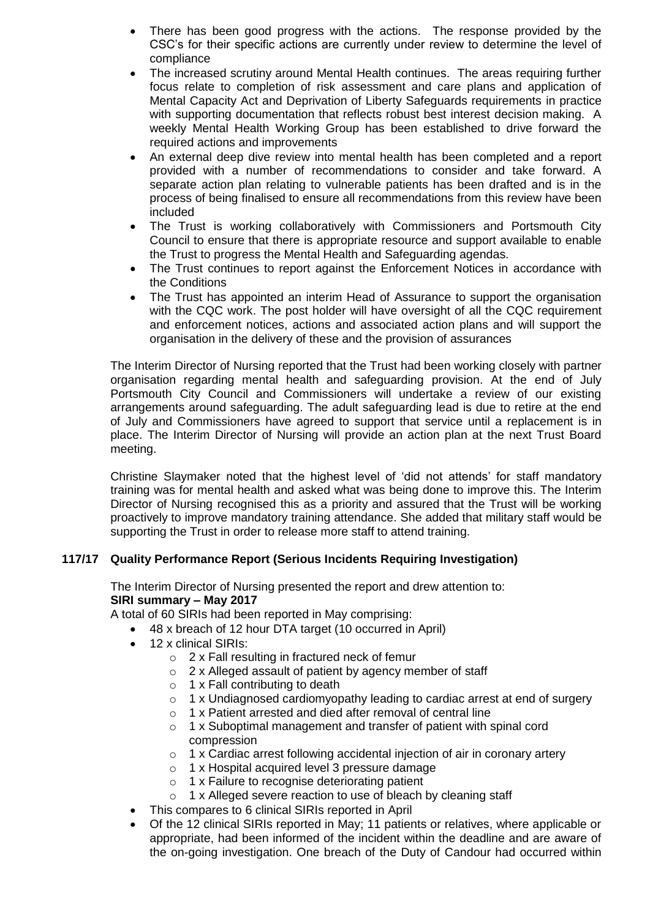- There has been good progress with the actions. The response provided by the CSC's for their specific actions are currently under review to determine the level of compliance
- The increased scrutiny around Mental Health continues. The areas requiring further focus relate to completion of risk assessment and care plans and application of Mental Capacity Act and Deprivation of Liberty Safeguards requirements in practice with supporting documentation that reflects robust best interest decision making. A weekly Mental Health Working Group has been established to drive forward the required actions and improvements
- An external deep dive review into mental health has been completed and a report provided with a number of recommendations to consider and take forward. A separate action plan relating to vulnerable patients has been drafted and is in the process of being finalised to ensure all recommendations from this review have been included
- The Trust is working collaboratively with Commissioners and Portsmouth City Council to ensure that there is appropriate resource and support available to enable the Trust to progress the Mental Health and Safeguarding agendas.
- The Trust continues to report against the Enforcement Notices in accordance with the Conditions
- The Trust has appointed an interim Head of Assurance to support the organisation with the CQC work. The post holder will have oversight of all the CQC requirement and enforcement notices, actions and associated action plans and will support the organisation in the delivery of these and the provision of assurances

The Interim Director of Nursing reported that the Trust had been working closely with partner organisation regarding mental health and safeguarding provision. At the end of July Portsmouth City Council and Commissioners will undertake a review of our existing arrangements around safeguarding. The adult safeguarding lead is due to retire at the end of July and Commissioners have agreed to support that service until a replacement is in place. The Interim Director of Nursing will provide an action plan at the next Trust Board meeting.

Christine Slaymaker noted that the highest level of 'did not attends' for staff mandatory training was for mental health and asked what was being done to improve this. The Interim Director of Nursing recognised this as a priority and assured that the Trust will be working proactively to improve mandatory training attendance. She added that military staff would be supporting the Trust in order to release more staff to attend training.

# **117/17 Quality Performance Report (Serious Incidents Requiring Investigation)**

The Interim Director of Nursing presented the report and drew attention to: **SIRI summary – May 2017**

A total of 60 SIRIs had been reported in May comprising:

- 48 x breach of 12 hour DTA target (10 occurred in April)
- 12 x clinical SIRIs:
	- o 2 x Fall resulting in fractured neck of femur
	- o 2 x Alleged assault of patient by agency member of staff
	- $\circ$  1 x Fall contributing to death
	- $\circ$  1 x Undiagnosed cardiomyopathy leading to cardiac arrest at end of surgery
	- $\circ$  1 x Patient arrested and died after removal of central line
	- o 1 x Suboptimal management and transfer of patient with spinal cord compression
	- o 1 x Cardiac arrest following accidental injection of air in coronary artery
	- o 1 x Hospital acquired level 3 pressure damage
	- o 1 x Failure to recognise deteriorating patient
	- o 1 x Alleged severe reaction to use of bleach by cleaning staff
- This compares to 6 clinical SIRIs reported in April
- Of the 12 clinical SIRIs reported in May; 11 patients or relatives, where applicable or appropriate, had been informed of the incident within the deadline and are aware of the on-going investigation. One breach of the Duty of Candour had occurred within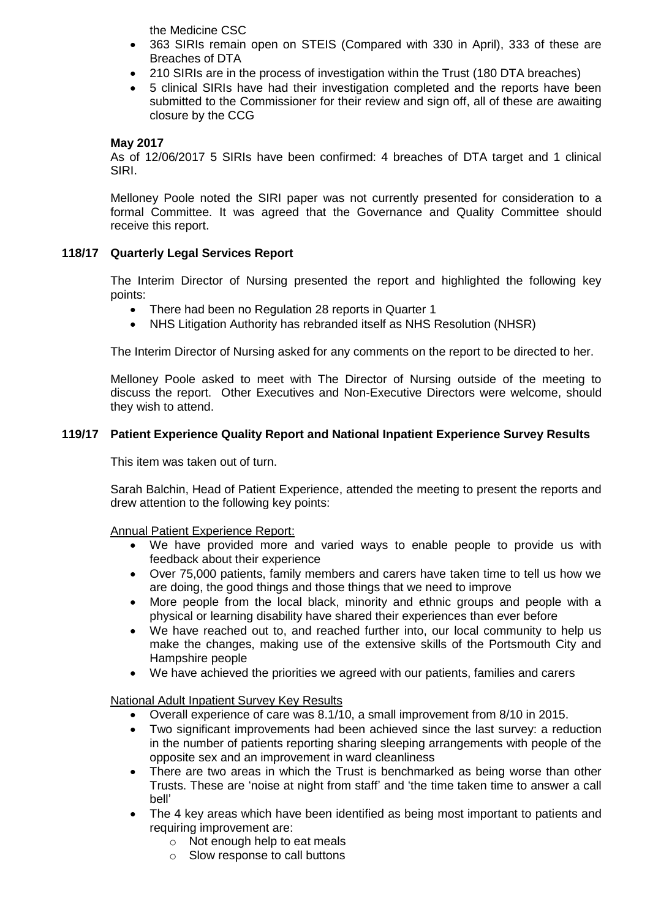the Medicine CSC

- 363 SIRIs remain open on STEIS (Compared with 330 in April), 333 of these are Breaches of DTA
- 210 SIRIs are in the process of investigation within the Trust (180 DTA breaches)
- 5 clinical SIRIs have had their investigation completed and the reports have been submitted to the Commissioner for their review and sign off, all of these are awaiting closure by the CCG

## **May 2017**

As of 12/06/2017 5 SIRIs have been confirmed: 4 breaches of DTA target and 1 clinical SIRI.

Melloney Poole noted the SIRI paper was not currently presented for consideration to a formal Committee. It was agreed that the Governance and Quality Committee should receive this report.

### **118/17 Quarterly Legal Services Report**

The Interim Director of Nursing presented the report and highlighted the following key points:

- There had been no Regulation 28 reports in Quarter 1
- NHS Litigation Authority has rebranded itself as NHS Resolution (NHSR)

The Interim Director of Nursing asked for any comments on the report to be directed to her.

Melloney Poole asked to meet with The Director of Nursing outside of the meeting to discuss the report. Other Executives and Non-Executive Directors were welcome, should they wish to attend.

## **119/17 Patient Experience Quality Report and National Inpatient Experience Survey Results**

This item was taken out of turn.

Sarah Balchin, Head of Patient Experience, attended the meeting to present the reports and drew attention to the following key points:

#### Annual Patient Experience Report:

- We have provided more and varied ways to enable people to provide us with feedback about their experience
- Over 75,000 patients, family members and carers have taken time to tell us how we are doing, the good things and those things that we need to improve
- More people from the local black, minority and ethnic groups and people with a physical or learning disability have shared their experiences than ever before
- We have reached out to, and reached further into, our local community to help us make the changes, making use of the extensive skills of the Portsmouth City and Hampshire people
- We have achieved the priorities we agreed with our patients, families and carers

#### National Adult Inpatient Survey Key Results

- Overall experience of care was 8.1/10, a small improvement from 8/10 in 2015.
- Two significant improvements had been achieved since the last survey: a reduction in the number of patients reporting sharing sleeping arrangements with people of the opposite sex and an improvement in ward cleanliness
- There are two areas in which the Trust is benchmarked as being worse than other Trusts. These are 'noise at night from staff' and 'the time taken time to answer a call bell'
- The 4 key areas which have been identified as being most important to patients and requiring improvement are:
	- o Not enough help to eat meals
	- o Slow response to call buttons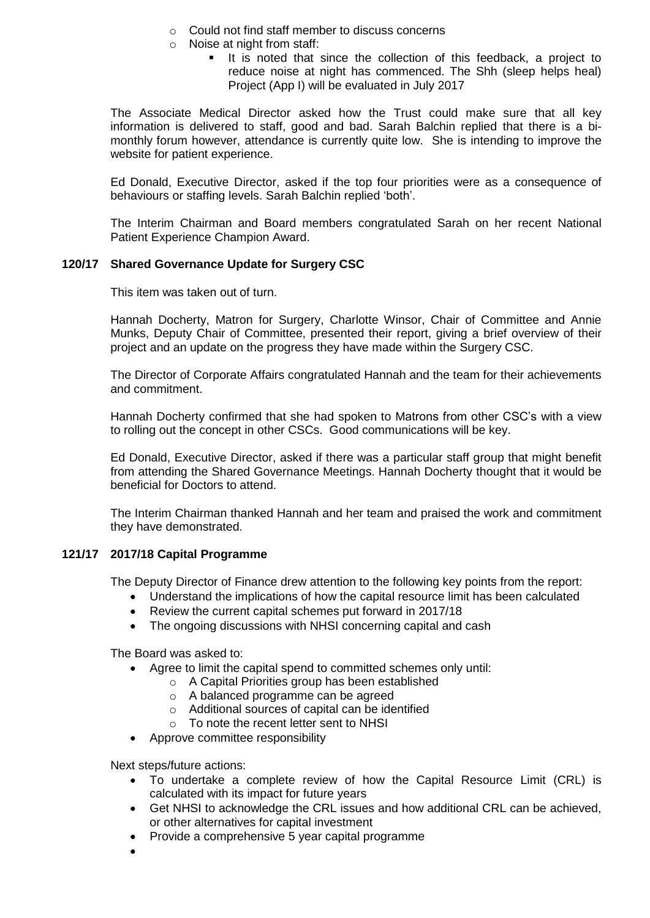- o Could not find staff member to discuss concerns
- o Noise at night from staff:
	- If is noted that since the collection of this feedback, a project to reduce noise at night has commenced. The Shh (sleep helps heal) Project (App I) will be evaluated in July 2017

The Associate Medical Director asked how the Trust could make sure that all key information is delivered to staff, good and bad. Sarah Balchin replied that there is a bimonthly forum however, attendance is currently quite low. She is intending to improve the website for patient experience.

Ed Donald, Executive Director, asked if the top four priorities were as a consequence of behaviours or staffing levels. Sarah Balchin replied 'both'.

The Interim Chairman and Board members congratulated Sarah on her recent National Patient Experience Champion Award.

## **120/17 Shared Governance Update for Surgery CSC**

This item was taken out of turn.

Hannah Docherty, Matron for Surgery, Charlotte Winsor, Chair of Committee and Annie Munks, Deputy Chair of Committee, presented their report, giving a brief overview of their project and an update on the progress they have made within the Surgery CSC.

The Director of Corporate Affairs congratulated Hannah and the team for their achievements and commitment.

Hannah Docherty confirmed that she had spoken to Matrons from other CSC's with a view to rolling out the concept in other CSCs. Good communications will be key.

Ed Donald, Executive Director, asked if there was a particular staff group that might benefit from attending the Shared Governance Meetings. Hannah Docherty thought that it would be beneficial for Doctors to attend.

The Interim Chairman thanked Hannah and her team and praised the work and commitment they have demonstrated.

## **121/17 2017/18 Capital Programme**

The Deputy Director of Finance drew attention to the following key points from the report:

- Understand the implications of how the capital resource limit has been calculated
- Review the current capital schemes put forward in 2017/18
- The ongoing discussions with NHSI concerning capital and cash

The Board was asked to:

- Agree to limit the capital spend to committed schemes only until:
	- o A Capital Priorities group has been established
		- o A balanced programme can be agreed
		- o Additional sources of capital can be identified
		- o To note the recent letter sent to NHSI
- Approve committee responsibility

Next steps/future actions:

- To undertake a complete review of how the Capital Resource Limit (CRL) is calculated with its impact for future years
- Get NHSI to acknowledge the CRL issues and how additional CRL can be achieved, or other alternatives for capital investment
- Provide a comprehensive 5 year capital programme
- $\bullet$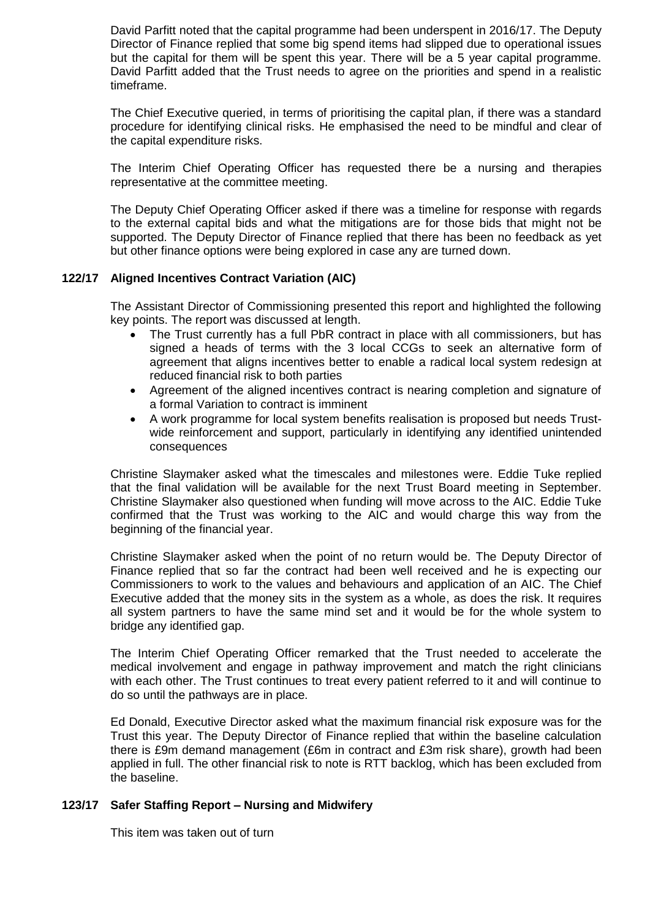David Parfitt noted that the capital programme had been underspent in 2016/17. The Deputy Director of Finance replied that some big spend items had slipped due to operational issues but the capital for them will be spent this year. There will be a 5 year capital programme. David Parfitt added that the Trust needs to agree on the priorities and spend in a realistic timeframe.

The Chief Executive queried, in terms of prioritising the capital plan, if there was a standard procedure for identifying clinical risks. He emphasised the need to be mindful and clear of the capital expenditure risks.

The Interim Chief Operating Officer has requested there be a nursing and therapies representative at the committee meeting.

The Deputy Chief Operating Officer asked if there was a timeline for response with regards to the external capital bids and what the mitigations are for those bids that might not be supported. The Deputy Director of Finance replied that there has been no feedback as yet but other finance options were being explored in case any are turned down.

## **122/17 Aligned Incentives Contract Variation (AIC)**

The Assistant Director of Commissioning presented this report and highlighted the following key points. The report was discussed at length.

- The Trust currently has a full PbR contract in place with all commissioners, but has signed a heads of terms with the 3 local CCGs to seek an alternative form of agreement that aligns incentives better to enable a radical local system redesign at reduced financial risk to both parties
- Agreement of the aligned incentives contract is nearing completion and signature of a formal Variation to contract is imminent
- A work programme for local system benefits realisation is proposed but needs Trustwide reinforcement and support, particularly in identifying any identified unintended consequences

Christine Slaymaker asked what the timescales and milestones were. Eddie Tuke replied that the final validation will be available for the next Trust Board meeting in September. Christine Slaymaker also questioned when funding will move across to the AIC. Eddie Tuke confirmed that the Trust was working to the AIC and would charge this way from the beginning of the financial year.

Christine Slaymaker asked when the point of no return would be. The Deputy Director of Finance replied that so far the contract had been well received and he is expecting our Commissioners to work to the values and behaviours and application of an AIC. The Chief Executive added that the money sits in the system as a whole, as does the risk. It requires all system partners to have the same mind set and it would be for the whole system to bridge any identified gap.

The Interim Chief Operating Officer remarked that the Trust needed to accelerate the medical involvement and engage in pathway improvement and match the right clinicians with each other. The Trust continues to treat every patient referred to it and will continue to do so until the pathways are in place.

Ed Donald, Executive Director asked what the maximum financial risk exposure was for the Trust this year. The Deputy Director of Finance replied that within the baseline calculation there is £9m demand management (£6m in contract and £3m risk share), growth had been applied in full. The other financial risk to note is RTT backlog, which has been excluded from the baseline.

#### **123/17 Safer Staffing Report – Nursing and Midwifery**

This item was taken out of turn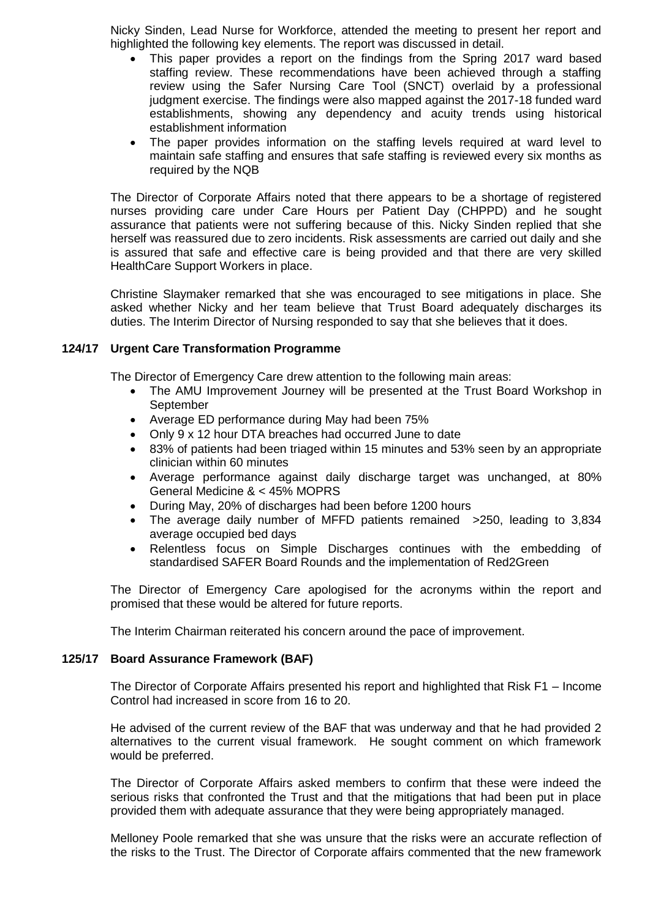Nicky Sinden, Lead Nurse for Workforce, attended the meeting to present her report and highlighted the following key elements. The report was discussed in detail.

- This paper provides a report on the findings from the Spring 2017 ward based staffing review. These recommendations have been achieved through a staffing review using the Safer Nursing Care Tool (SNCT) overlaid by a professional judgment exercise. The findings were also mapped against the 2017-18 funded ward establishments, showing any dependency and acuity trends using historical establishment information
- The paper provides information on the staffing levels required at ward level to maintain safe staffing and ensures that safe staffing is reviewed every six months as required by the NQB

The Director of Corporate Affairs noted that there appears to be a shortage of registered nurses providing care under Care Hours per Patient Day (CHPPD) and he sought assurance that patients were not suffering because of this. Nicky Sinden replied that she herself was reassured due to zero incidents. Risk assessments are carried out daily and she is assured that safe and effective care is being provided and that there are very skilled HealthCare Support Workers in place.

Christine Slaymaker remarked that she was encouraged to see mitigations in place. She asked whether Nicky and her team believe that Trust Board adequately discharges its duties. The Interim Director of Nursing responded to say that she believes that it does.

### **124/17 Urgent Care Transformation Programme**

The Director of Emergency Care drew attention to the following main areas:

- The AMU Improvement Journey will be presented at the Trust Board Workshop in **September**
- Average ED performance during May had been 75%
- Only 9 x 12 hour DTA breaches had occurred June to date
- 83% of patients had been triaged within 15 minutes and 53% seen by an appropriate clinician within 60 minutes
- Average performance against daily discharge target was unchanged, at 80% General Medicine & < 45% MOPRS
- During May, 20% of discharges had been before 1200 hours
- The average daily number of MFFD patients remained >250, leading to 3,834 average occupied bed days
- Relentless focus on Simple Discharges continues with the embedding of standardised SAFER Board Rounds and the implementation of Red2Green

The Director of Emergency Care apologised for the acronyms within the report and promised that these would be altered for future reports.

The Interim Chairman reiterated his concern around the pace of improvement.

#### **125/17 Board Assurance Framework (BAF)**

The Director of Corporate Affairs presented his report and highlighted that Risk F1 – Income Control had increased in score from 16 to 20.

He advised of the current review of the BAF that was underway and that he had provided 2 alternatives to the current visual framework. He sought comment on which framework would be preferred.

The Director of Corporate Affairs asked members to confirm that these were indeed the serious risks that confronted the Trust and that the mitigations that had been put in place provided them with adequate assurance that they were being appropriately managed.

Melloney Poole remarked that she was unsure that the risks were an accurate reflection of the risks to the Trust. The Director of Corporate affairs commented that the new framework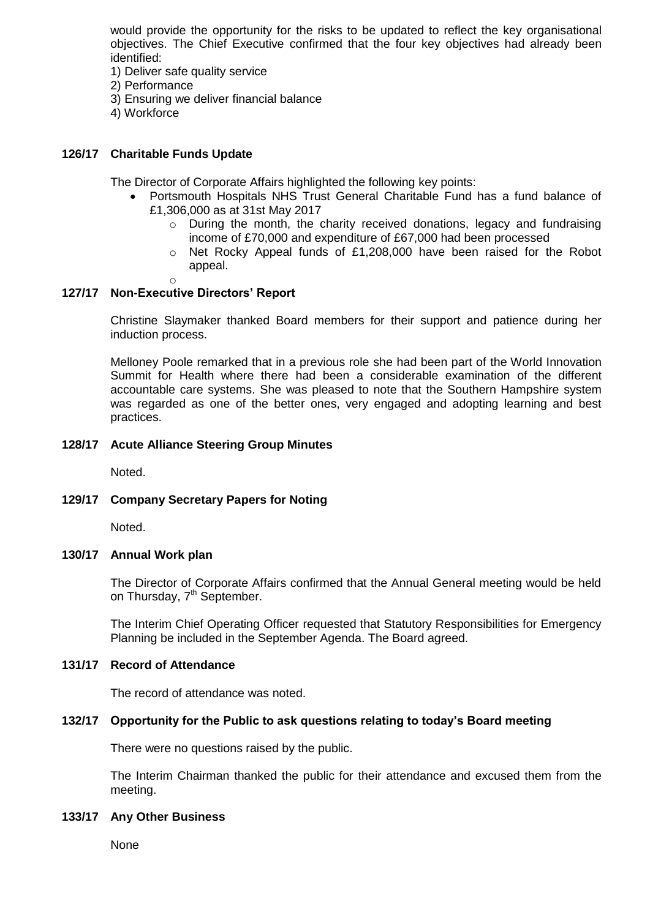would provide the opportunity for the risks to be updated to reflect the key organisational objectives. The Chief Executive confirmed that the four key objectives had already been identified:

- 1) Deliver safe quality service
- 2) Performance
- 3) Ensuring we deliver financial balance
- 4) Workforce

### **126/17 Charitable Funds Update**

The Director of Corporate Affairs highlighted the following key points:

- Portsmouth Hospitals NHS Trust General Charitable Fund has a fund balance of £1,306,000 as at 31st May 2017
	- $\circ$  During the month, the charity received donations, legacy and fundraising income of £70,000 and expenditure of £67,000 had been processed
	- o Net Rocky Appeal funds of £1,208,000 have been raised for the Robot appeal.
	- o

### **127/17 Non-Executive Directors' Report**

Christine Slaymaker thanked Board members for their support and patience during her induction process.

Melloney Poole remarked that in a previous role she had been part of the World Innovation Summit for Health where there had been a considerable examination of the different accountable care systems. She was pleased to note that the Southern Hampshire system was regarded as one of the better ones, very engaged and adopting learning and best practices.

#### **128/17 Acute Alliance Steering Group Minutes**

Noted.

#### **129/17 Company Secretary Papers for Noting**

Noted.

#### **130/17 Annual Work plan**

The Director of Corporate Affairs confirmed that the Annual General meeting would be held on Thursday, 7<sup>th</sup> September.

The Interim Chief Operating Officer requested that Statutory Responsibilities for Emergency Planning be included in the September Agenda. The Board agreed.

#### **131/17 Record of Attendance**

The record of attendance was noted.

#### **132/17 Opportunity for the Public to ask questions relating to today's Board meeting**

There were no questions raised by the public.

The Interim Chairman thanked the public for their attendance and excused them from the meeting.

#### **133/17 Any Other Business**

None